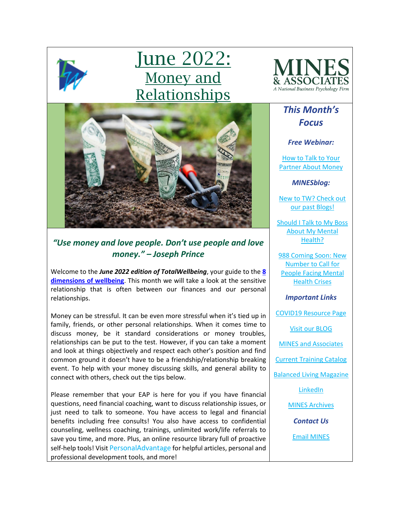

# <u>June 2022:</u> Money and Relationships



### *"Use money and love people. Don't use people and love money." – Joseph Prince*

Welcome to the *June 2022 edition of TotalWellbeing*, your guide to the **[8](https://www.youtube.com/watch?v=tDzQdRvLAfM)  [dimensions of wellbeing](https://www.youtube.com/watch?v=tDzQdRvLAfM)**. This month we will take a look at the sensitive relationship that is often between our finances and our personal relationships.

Money can be stressful. It can be even more stressful when it's tied up in family, friends, or other personal relationships. When it comes time to discuss money, be it standard considerations or money troubles, relationships can be put to the test. However, if you can take a moment and look at things objectively and respect each other's position and find common ground it doesn't have to be a friendship/relationship breaking event. To help with your money discussing skills, and general ability to connect with others, check out the tips below.

Please remember that your EAP is here for you if you have financial questions, need financial coaching, want to discuss relationship issues, or just need to talk to someone. You have access to legal and financial benefits including free consults! You also have access to confidential counseling, wellness coaching, trainings, unlimited work/life referrals to save you time, and more. Plus, an online resource library full of proactive self-help tools! Visit [PersonalAdvantage](https://mines.personaladvantage.com/) for helpful articles, personal and professional development tools, and more!



# *This Month's Focus*

### *Free Webinar:*

[How to Talk to Your](https://mines.personaladvantage.com/section.jsp?module=section_100)  **[Partner About Money](https://mines.personaladvantage.com/section.jsp?module=section_100)** 

*MINESblog:*

[New to TW? Check out](https://minesblog.wordpress.com/)  [our past Blogs!](https://minesblog.wordpress.com/)

[Should I Talk to My Boss](https://minesblog.wordpress.com/2022/05/31/should-i-talk-to-my-boss-about-my-mental-health/)  [About My Mental](https://minesblog.wordpress.com/2022/05/31/should-i-talk-to-my-boss-about-my-mental-health/)  [Health?](https://minesblog.wordpress.com/2022/05/31/should-i-talk-to-my-boss-about-my-mental-health/)

[988 Coming Soon: New](https://minesblog.wordpress.com/2022/05/20/988-coming-soon-new-number-to-call-for-people-facing-mental-health-crises/)  [Number to Call for](https://minesblog.wordpress.com/2022/05/20/988-coming-soon-new-number-to-call-for-people-facing-mental-health-crises/)  [People Facing Mental](https://minesblog.wordpress.com/2022/05/20/988-coming-soon-new-number-to-call-for-people-facing-mental-health-crises/)  [Health Crises](https://minesblog.wordpress.com/2022/05/20/988-coming-soon-new-number-to-call-for-people-facing-mental-health-crises/)

*Important Links*

[COVID19 Resource Page](http://www.minesandassociates.com/Covid19_resources.html)

[Visit our BLOG](http://minesblog.wordpress.com/)

[MINES and Associates](http://www.minesandassociates.com/)

[Current Training Catalog](http://www.minesandassociates.com/Training_Main.html)

[Balanced Living Magazine](http://www.minesandassociates.com/newsletters.html)

[LinkedIn](https://www.linkedin.com/company/mines-and-associates)

[MINES Archives](http://www.minesandassociates.com/newsletters.html)

*Contact Us*

[Email MINES](mailto:communications@MINESandAssociates.com)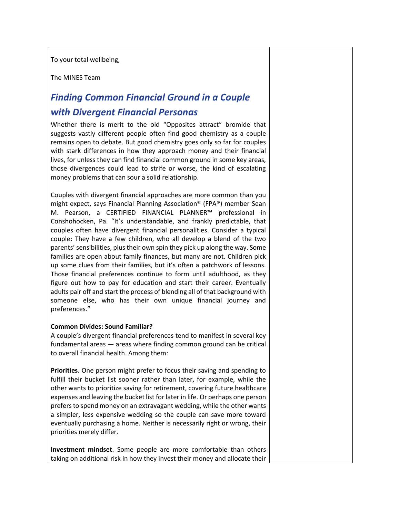To your total wellbeing,

The MINES Team

# *Finding Common Financial Ground in a Couple with Divergent Financial Personas*

Whether there is merit to the old "Opposites attract" bromide that suggests vastly different people often find good chemistry as a couple remains open to debate. But good chemistry goes only so far for couples with stark differences in how they approach money and their financial lives, for unless they can find financial common ground in some key areas, those divergences could lead to strife or worse, the kind of escalating money problems that can sour a solid relationship.

Couples with divergent financial approaches are more common than you might expect, says Financial Planning Association® (FPA®) member Sean M. Pearson, a CERTIFIED FINANCIAL PLANNER™ professional in Conshohocken, Pa. "It's understandable, and frankly predictable, that couples often have divergent financial personalities. Consider a typical couple: They have a few children, who all develop a blend of the two parents' sensibilities, plus their own spin they pick up along the way. Some families are open about family finances, but many are not. Children pick up some clues from their families, but it's often a patchwork of lessons. Those financial preferences continue to form until adulthood, as they figure out how to pay for education and start their career. Eventually adults pair off and start the process of blending all of that background with someone else, who has their own unique financial journey and preferences."

#### **Common Divides: Sound Familiar?**

A couple's divergent financial preferences tend to manifest in several key fundamental areas — areas where finding common ground can be critical to overall financial health. Among them:

**Priorities**. One person might prefer to focus their saving and spending to fulfill their bucket list sooner rather than later, for example, while the other wants to prioritize saving for retirement, covering future healthcare expenses and leaving the bucket list for later in life. Or perhaps one person prefers to spend money on an extravagant wedding, while the other wants a simpler, less expensive wedding so the couple can save more toward eventually purchasing a home. Neither is necessarily right or wrong, their priorities merely differ.

**Investment mindset**. Some people are more comfortable than others taking on additional risk in how they invest their money and allocate their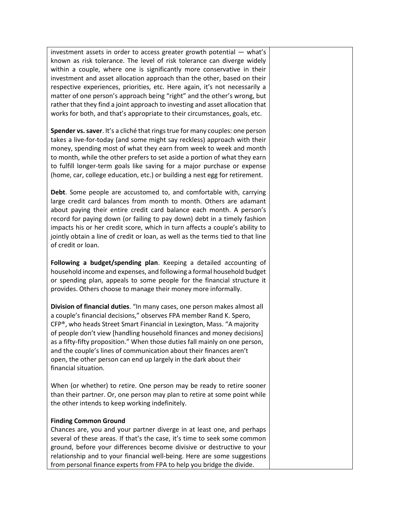investment assets in order to access greater growth potential — what's known as risk tolerance. The level of risk tolerance can diverge widely within a couple, where one is significantly more conservative in their investment and asset allocation approach than the other, based on their respective experiences, priorities, etc. Here again, it's not necessarily a matter of one person's approach being "right" and the other's wrong, but rather that they find a joint approach to investing and asset allocation that works for both, and that's appropriate to their circumstances, goals, etc.

**Spender vs. saver**. It's a cliché that rings true for many couples: one person takes a live-for-today (and some might say reckless) approach with their money, spending most of what they earn from week to week and month to month, while the other prefers to set aside a portion of what they earn to fulfill longer-term goals like saving for a major purchase or expense (home, car, college education, etc.) or building a nest egg for retirement.

**Debt**. Some people are accustomed to, and comfortable with, carrying large credit card balances from month to month. Others are adamant about paying their entire credit card balance each month. A person's record for paying down (or failing to pay down) debt in a timely fashion impacts his or her credit score, which in turn affects a couple's ability to jointly obtain a line of credit or loan, as well as the terms tied to that line of credit or loan.

**Following a budget/spending plan**. Keeping a detailed accounting of household income and expenses, and following a formal household budget or spending plan, appeals to some people for the financial structure it provides. Others choose to manage their money more informally.

**Division of financial duties**. "In many cases, one person makes almost all a couple's financial decisions," observes FPA member Rand K. Spero, CFP®, who heads Street Smart Financial in Lexington, Mass. "A majority of people don't view [handling household finances and money decisions] as a fifty-fifty proposition." When those duties fall mainly on one person, and the couple's lines of communication about their finances aren't open, the other person can end up largely in the dark about their financial situation.

When (or whether) to retire. One person may be ready to retire sooner than their partner. Or, one person may plan to retire at some point while the other intends to keep working indefinitely.

#### **Finding Common Ground**

Chances are, you and your partner diverge in at least one, and perhaps several of these areas. If that's the case, it's time to seek some common ground, before your differences become divisive or destructive to your relationship and to your financial well-being. Here are some suggestions from personal finance experts from FPA to help you bridge the divide.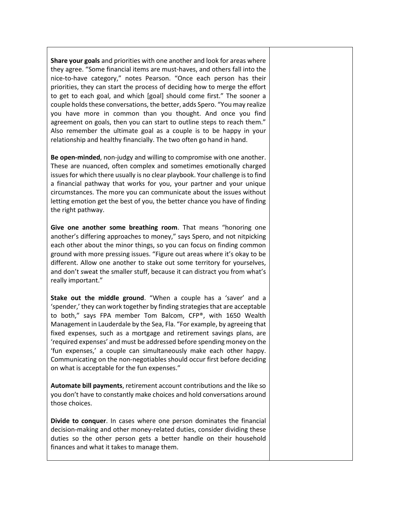**Share your goals** and priorities with one another and look for areas where they agree. "Some financial items are must-haves, and others fall into the nice-to-have category," notes Pearson. "Once each person has their priorities, they can start the process of deciding how to merge the effort to get to each goal, and which [goal] should come first." The sooner a couple holds these conversations, the better, adds Spero. "You may realize you have more in common than you thought. And once you find agreement on goals, then you can start to outline steps to reach them." Also remember the ultimate goal as a couple is to be happy in your relationship and healthy financially. The two often go hand in hand.

**Be open-minded**, non-judgy and willing to compromise with one another. These are nuanced, often complex and sometimes emotionally charged issues for which there usually is no clear playbook. Your challenge is to find a financial pathway that works for you, your partner and your unique circumstances. The more you can communicate about the issues without letting emotion get the best of you, the better chance you have of finding the right pathway.

**Give one another some breathing room**. That means "honoring one another's differing approaches to money," says Spero, and not nitpicking each other about the minor things, so you can focus on finding common ground with more pressing issues. "Figure out areas where it's okay to be different. Allow one another to stake out some territory for yourselves, and don't sweat the smaller stuff, because it can distract you from what's really important."

**Stake out the middle ground**. "When a couple has a 'saver' and a 'spender,' they can work together by finding strategies that are acceptable to both," says FPA member Tom Balcom, CFP®, with 1650 Wealth Management in Lauderdale by the Sea, Fla. "For example, by agreeing that fixed expenses, such as a mortgage and retirement savings plans, are 'required expenses' and must be addressed before spending money on the 'fun expenses,' a couple can simultaneously make each other happy. Communicating on the non-negotiables should occur first before deciding on what is acceptable for the fun expenses."

**Automate bill payments**, retirement account contributions and the like so you don't have to constantly make choices and hold conversations around those choices.

**Divide to conquer**. In cases where one person dominates the financial decision-making and other money-related duties, consider dividing these duties so the other person gets a better handle on their household finances and what it takes to manage them.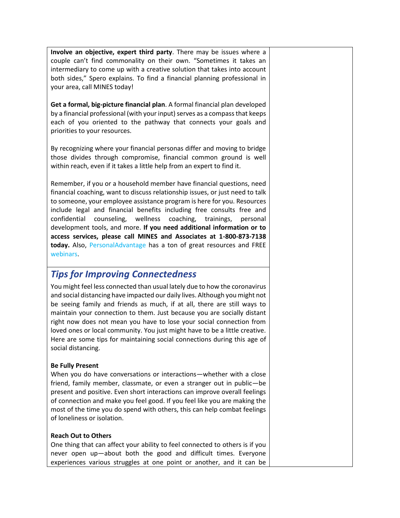**Involve an objective, expert third party**. There may be issues where a couple can't find commonality on their own. "Sometimes it takes an intermediary to come up with a creative solution that takes into account both sides," Spero explains. To find a financial planning professional in your area, call MINES today!

**Get a formal, big-picture financial plan**. A formal financial plan developed by a financial professional (with your input) serves as a compass that keeps each of you oriented to the pathway that connects your goals and priorities to your resources.

By recognizing where your financial personas differ and moving to bridge those divides through compromise, financial common ground is well within reach, even if it takes a little help from an expert to find it.

Remember, if you or a household member have financial questions, need financial coaching, want to discuss relationship issues, or just need to talk to someone, your employee assistance program is here for you. Resources include legal and financial benefits including free consults free and confidential counseling, wellness coaching, trainings, personal development tools, and more. **If you need additional information or to access services, please call MINES and Associates at 1-800-873-7138 today.** Also, [PersonalAdvantage](https://mines.personaladvantage.com/) has a ton of great resources and FREE [webinars.](https://mines.personaladvantage.com/section.jsp?module=section_100)

## *Tips for Improving Connectedness*

You might feel less connected than usual lately due to how the coronavirus and social distancing have impacted our daily lives. Although you might not be seeing family and friends as much, if at all, there are still ways to maintain your connection to them. Just because you are socially distant right now does not mean you have to lose your social connection from loved ones or local community. You just might have to be a little creative. Here are some tips for maintaining social connections during this age of social distancing.

### **Be Fully Present**

When you do have conversations or interactions—whether with a close friend, family member, classmate, or even a stranger out in public—be present and positive. Even short interactions can improve overall feelings of connection and make you feel good. If you feel like you are making the most of the time you do spend with others, this can help combat feelings of loneliness or isolation.

### **Reach Out to Others**

One thing that can affect your ability to feel connected to others is if you never open up—about both the good and difficult times. Everyone experiences various struggles at one point or another, and it can be